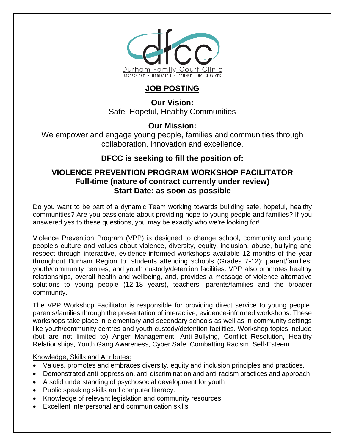

# **JOB POSTING**

**Our Vision:** Safe, Hopeful, Healthy Communities

### **Our Mission:**

We empower and engage young people, families and communities through collaboration, innovation and excellence.

## **DFCC is seeking to fill the position of:**

## **VIOLENCE PREVENTION PROGRAM WORKSHOP FACILITATOR Full-time (nature of contract currently under review) Start Date: as soon as possible**

Do you want to be part of a dynamic Team working towards building safe, hopeful, healthy communities? Are you passionate about providing hope to young people and families? If you answered yes to these questions, you may be exactly who we're looking for!

Violence Prevention Program (VPP) is designed to change school, community and young people's culture and values about violence, diversity, equity, inclusion, abuse, bullying and respect through interactive, evidence-informed workshops available 12 months of the year throughout Durham Region to: students attending schools (Grades 7-12); parent/families; youth/community centres; and youth custody/detention facilities. VPP also promotes healthy relationships, overall health and wellbeing, and, provides a message of violence alternative solutions to young people (12-18 years), teachers, parents/families and the broader community.

The VPP Workshop Facilitator is responsible for providing direct service to young people, parents/families through the presentation of interactive, evidence-informed workshops. These workshops take place in elementary and secondary schools as well as in community settings like youth/community centres and youth custody/detention facilities. Workshop topics include (but are not limited to) Anger Management, Anti-Bullying, Conflict Resolution, Healthy Relationships, Youth Gang Awareness, Cyber Safe, Combatting Racism, Self-Esteem.

Knowledge, Skills and Attributes:

- Values, promotes and embraces diversity, equity and inclusion principles and practices.
- Demonstrated anti-oppression, anti-discrimination and anti-racism practices and approach.
- A solid understanding of psychosocial development for youth
- Public speaking skills and computer literacy.
- Knowledge of relevant legislation and community resources.
- Excellent interpersonal and communication skills